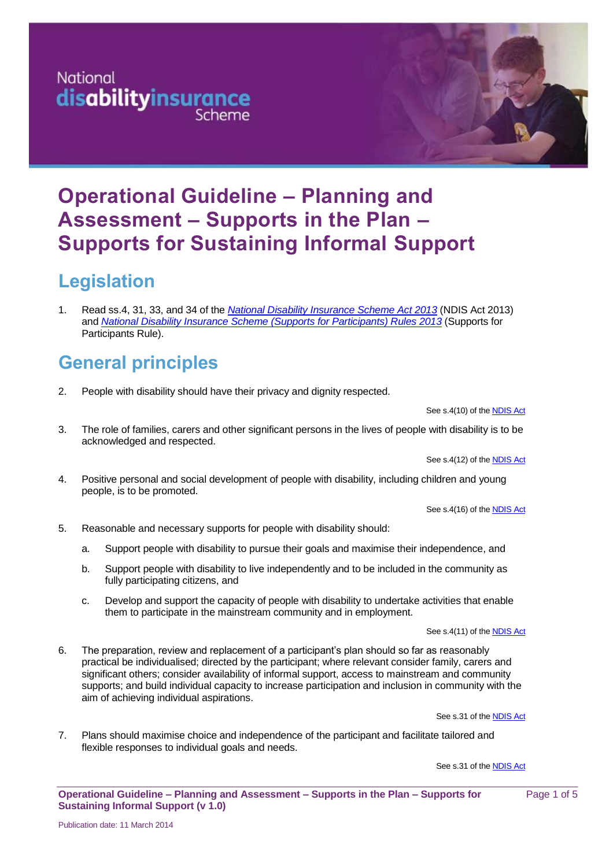



# **Operational Guideline – Planning and Assessment – Supports in the Plan – Supports for Sustaining Informal Support**

# **Legislation**

1. Read ss.4, 31, 33, and 34 of the *[National Disability Insurance Scheme Act 2013](http://www.comlaw.gov.au/Details/F2013L01063)* (NDIS Act 2013) and *[National Disability Insurance Scheme](http://www.comlaw.gov.au/Details/F2013L01063) (Supports for Participants) Rules 2013* (Supports for Participants Rule).

# **General principles**

2. People with disability should have their privacy and dignity respected.

See s.4(10) of the [NDIS Act](http://www.comlaw.gov.au/Details/C2013C00388)

3. The role of families, carers and other significant persons in the lives of people with disability is to be acknowledged and respected.

See s.4(12) of the **NDIS Act** 

4. Positive personal and social development of people with disability, including children and young people, is to be promoted.

See s.4(16) of the **NDIS Act** 

- 5. Reasonable and necessary supports for people with disability should:
	- a. Support people with disability to pursue their goals and maximise their independence, and
	- b. Support people with disability to live independently and to be included in the community as fully participating citizens, and
	- c. Develop and support the capacity of people with disability to undertake activities that enable them to participate in the mainstream community and in employment.

See s.4(11) of the **NDIS Act** 

6. The preparation, review and replacement of a participant's plan should so far as reasonably practical be individualised; directed by the participant; where relevant consider family, carers and significant others; consider availability of informal support, access to mainstream and community supports; and build individual capacity to increase participation and inclusion in community with the aim of achieving individual aspirations.

See s.31 of th[e NDIS Act](http://www.comlaw.gov.au/Details/C2013C00388)

7. Plans should maximise choice and independence of the participant and facilitate tailored and flexible responses to individual goals and needs.

See s.31 of th[e NDIS Act](http://www.comlaw.gov.au/Details/C2013C00388)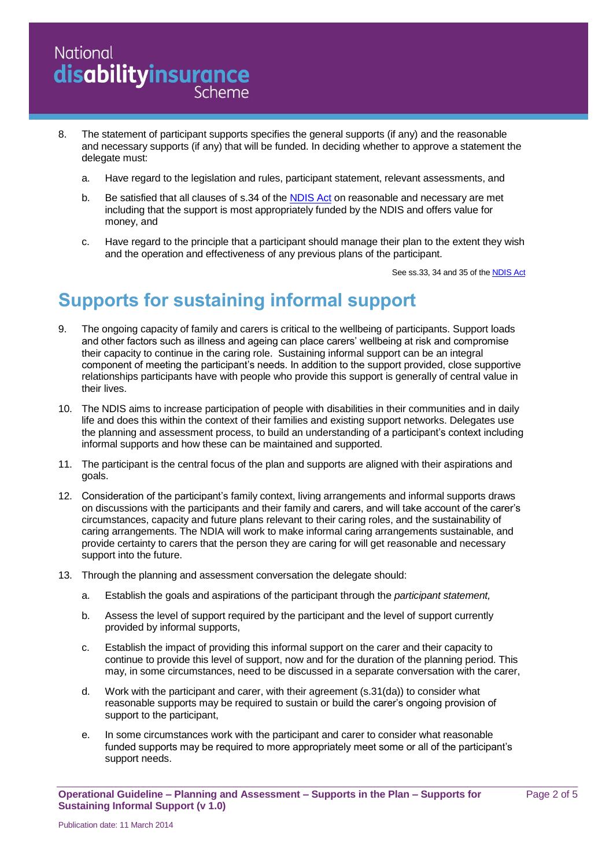#### **National** disabilityinsurance Scheme

- 8. The statement of participant supports specifies the general supports (if any) and the reasonable and necessary supports (if any) that will be funded. In deciding whether to approve a statement the delegate must:
	- a. Have regard to the legislation and rules, participant statement, relevant assessments, and
	- b. Be satisfied that all clauses of s.34 of the [NDIS Act](http://www.comlaw.gov.au/Details/C2013C00388) on reasonable and necessary are met including that the support is most appropriately funded by the NDIS and offers value for money, and
	- c. Have regard to the principle that a participant should manage their plan to the extent they wish and the operation and effectiveness of any previous plans of the participant.

See ss.33, 34 and 35 of the [NDIS Act](http://www.comlaw.gov.au/Details/C2013C00388)

# **Supports for sustaining informal support**

- 9. The ongoing capacity of family and carers is critical to the wellbeing of participants. Support loads and other factors such as illness and ageing can place carers' wellbeing at risk and compromise their capacity to continue in the caring role. Sustaining informal support can be an integral component of meeting the participant's needs. In addition to the support provided, close supportive relationships participants have with people who provide this support is generally of central value in their lives.
- 10. The NDIS aims to increase participation of people with disabilities in their communities and in daily life and does this within the context of their families and existing support networks. Delegates use the planning and assessment process, to build an understanding of a participant's context including informal supports and how these can be maintained and supported.
- 11. The participant is the central focus of the plan and supports are aligned with their aspirations and goals.
- 12. Consideration of the participant's family context, living arrangements and informal supports draws on discussions with the participants and their family and carers, and will take account of the carer's circumstances, capacity and future plans relevant to their caring roles, and the sustainability of caring arrangements. The NDIA will work to make informal caring arrangements sustainable, and provide certainty to carers that the person they are caring for will get reasonable and necessary support into the future.
- 13. Through the planning and assessment conversation the delegate should:
	- a. Establish the goals and aspirations of the participant through the *participant statement,*
	- b. Assess the level of support required by the participant and the level of support currently provided by informal supports,
	- c. Establish the impact of providing this informal support on the carer and their capacity to continue to provide this level of support, now and for the duration of the planning period. This may, in some circumstances, need to be discussed in a separate conversation with the carer,
	- d. Work with the participant and carer, with their agreement (s.31(da)) to consider what reasonable supports may be required to sustain or build the carer's ongoing provision of support to the participant,
	- e. In some circumstances work with the participant and carer to consider what reasonable funded supports may be required to more appropriately meet some or all of the participant's support needs.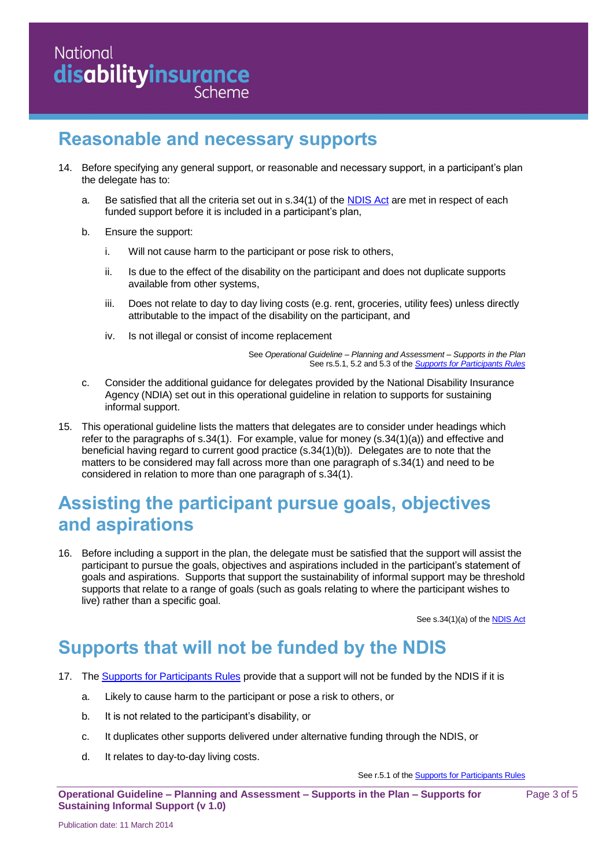#### National disabilityinsurance Scheme

#### **Reasonable and necessary supports**

- 14. Before specifying any general support, or reasonable and necessary support, in a participant's plan the delegate has to:
	- a. Be satisfied that all the criteria set out in s.34(1) of the [NDIS Act](http://www.comlaw.gov.au/Details/C2013C00388) are met in respect of each funded support before it is included in a participant's plan,
	- b. Ensure the support:
		- i. Will not cause harm to the participant or pose risk to others,
		- ii. Is due to the effect of the disability on the participant and does not duplicate supports available from other systems,
		- iii. Does not relate to day to day living costs (e.g. rent, groceries, utility fees) unless directly attributable to the impact of the disability on the participant, and
		- iv. Is not illegal or consist of income replacement

See *Operational Guideline – Planning and Assessment – Supports in the Plan* See rs.5.1, 5.2 and 5.3 of the *[Supports for Participants Rules](http://www.comlaw.gov.au/Details/F2013L01063)*

- c. Consider the additional guidance for delegates provided by the National Disability Insurance Agency (NDIA) set out in this operational guideline in relation to supports for sustaining informal support.
- 15. This operational guideline lists the matters that delegates are to consider under headings which refer to the paragraphs of s.34(1). For example, value for money (s.34(1)(a)) and effective and beneficial having regard to current good practice (s.34(1)(b)). Delegates are to note that the matters to be considered may fall across more than one paragraph of s.34(1) and need to be considered in relation to more than one paragraph of s.34(1).

### **Assisting the participant pursue goals, objectives and aspirations**

16. Before including a support in the plan, the delegate must be satisfied that the support will assist the participant to pursue the goals, objectives and aspirations included in the participant's statement of goals and aspirations. Supports that support the sustainability of informal support may be threshold supports that relate to a range of goals (such as goals relating to where the participant wishes to live) rather than a specific goal.

See s.34(1)(a) of the [NDIS Act](http://www.comlaw.gov.au/Details/C2013C00388)

### **Supports that will not be funded by the NDIS**

- 17. The **Supports for Participants Rules** provide that a support will not be funded by the NDIS if it is
	- a. Likely to cause harm to the participant or pose a risk to others, or
	- b. It is not related to the participant's disability, or
	- c. It duplicates other supports delivered under alternative funding through the NDIS, or
	- d. It relates to day-to-day living costs.

See r.5.1 of the **Supports for Participants Rules**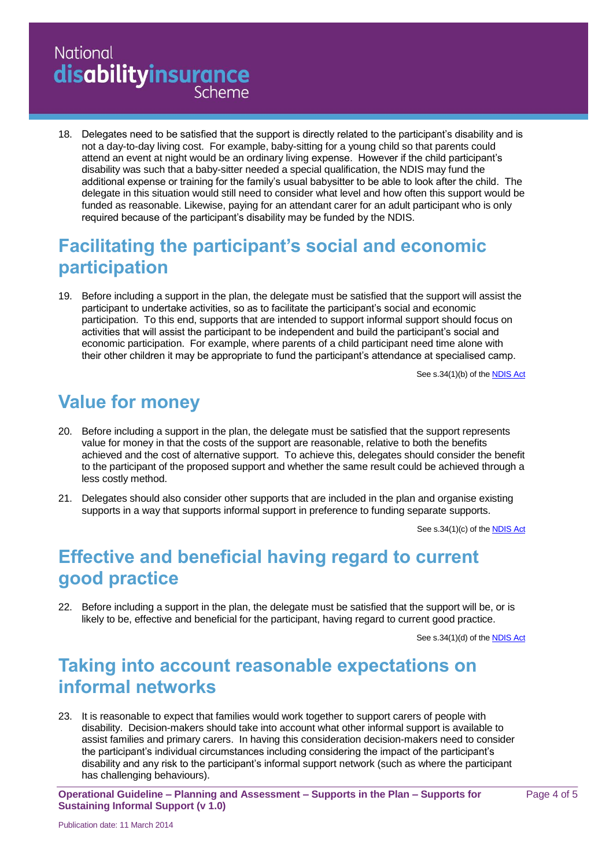#### **National** disabilityinsurance Scheme

18. Delegates need to be satisfied that the support is directly related to the participant's disability and is not a day-to-day living cost. For example, baby-sitting for a young child so that parents could attend an event at night would be an ordinary living expense. However if the child participant's disability was such that a baby-sitter needed a special qualification, the NDIS may fund the additional expense or training for the family's usual babysitter to be able to look after the child. The delegate in this situation would still need to consider what level and how often this support would be funded as reasonable. Likewise, paying for an attendant carer for an adult participant who is only required because of the participant's disability may be funded by the NDIS.

### **Facilitating the participant's social and economic participation**

19. Before including a support in the plan, the delegate must be satisfied that the support will assist the participant to undertake activities, so as to facilitate the participant's social and economic participation. To this end, supports that are intended to support informal support should focus on activities that will assist the participant to be independent and build the participant's social and economic participation. For example, where parents of a child participant need time alone with their other children it may be appropriate to fund the participant's attendance at specialised camp.

See s.34(1)(b) of the **NDIS Act** 

# **Value for money**

- 20. Before including a support in the plan, the delegate must be satisfied that the support represents value for money in that the costs of the support are reasonable, relative to both the benefits achieved and the cost of alternative support. To achieve this, delegates should consider the benefit to the participant of the proposed support and whether the same result could be achieved through a less costly method.
- 21. Delegates should also consider other supports that are included in the plan and organise existing supports in a way that supports informal support in preference to funding separate supports.

See s.34(1)(c) of the [NDIS Act](http://www.comlaw.gov.au/Details/C2013C00388)

# **Effective and beneficial having regard to current good practice**

22. Before including a support in the plan, the delegate must be satisfied that the support will be, or is likely to be, effective and beneficial for the participant, having regard to current good practice.

See s.34(1)(d) of the [NDIS Act](http://www.comlaw.gov.au/Details/C2013C00388)

#### **Taking into account reasonable expectations on informal networks**

23. It is reasonable to expect that families would work together to support carers of people with disability. Decision-makers should take into account what other informal support is available to assist families and primary carers. In having this consideration decision-makers need to consider the participant's individual circumstances including considering the impact of the participant's disability and any risk to the participant's informal support network (such as where the participant has challenging behaviours).

**Operational Guideline – Planning and Assessment – Supports in the Plan – Supports for Sustaining Informal Support (v 1.0)**